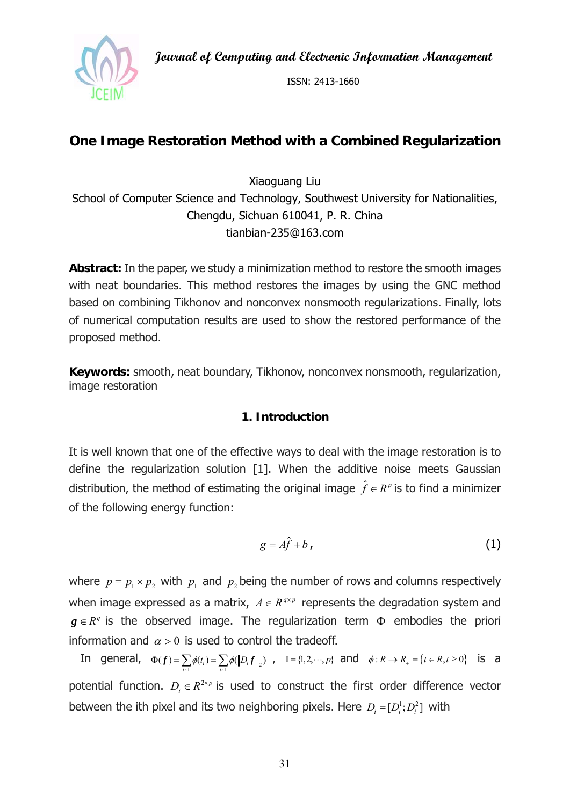**Journal of Computing and Electronic Information Management** 



ISSN: 2413-1660

# **One Image Restoration Method with a Combined Regularization**

Xiaoguang Liu School of Computer Science and Technology, Southwest University for Nationalities, Chengdu, Sichuan 610041, P. R. China tianbian-235@163.com

**Abstract:** In the paper, we study a minimization method to restore the smooth images with neat boundaries. This method restores the images by using the GNC method based on combining Tikhonov and nonconvex nonsmooth regularizations. Finally, lots of numerical computation results are used to show the restored performance of the proposed method.

**Keywords:** smooth, neat boundary, Tikhonov, nonconvex nonsmooth, regularization, image restoration

### **1. Introduction**

It is well known that one of the effective ways to deal with the image restoration is to define the regularization solution [1]. When the additive noise meets Gaussian distribution, the method of estimating the original image  $\hat{f} \in R^p$  is to find a minimizer of the following energy function:

$$
g = A\hat{f} + b \tag{1}
$$

where  $p = p_1 \times p_2$  with  $p_1$  and  $p_2$  being the number of rows and columns respectively when image expressed as a matrix,  $A \in R^{q \times p}$  represents the degradation system and  $g \in R<sup>q</sup>$  is the observed image. The regularization term  $\Phi$  embodies the priori information and  $\alpha > 0$  is used to control the tradeoff.

In general,  $\Phi(f) = \sum_{i \in I} \phi(t_i) = \sum_{i \in I} \phi(\|D_i f\|_2)$  $\phi(t_i) = \sum \phi(||D$  $\Phi(f) = \sum_{i \in I} \phi(t_i) = \sum_{i \in I} \phi(\|D_i f\|_2)$ ,  $I = \{1, 2, \dots, p\}$  and  $\phi: R \to R_+ = \{t \in R, t \ge 0\}$  is a potential function.  $D_i \in R^{2\times p}$  is used to construct the first order difference vector between the ith pixel and its two neighboring pixels. Here  $D_i = [D_i^1; D_i^2]$  with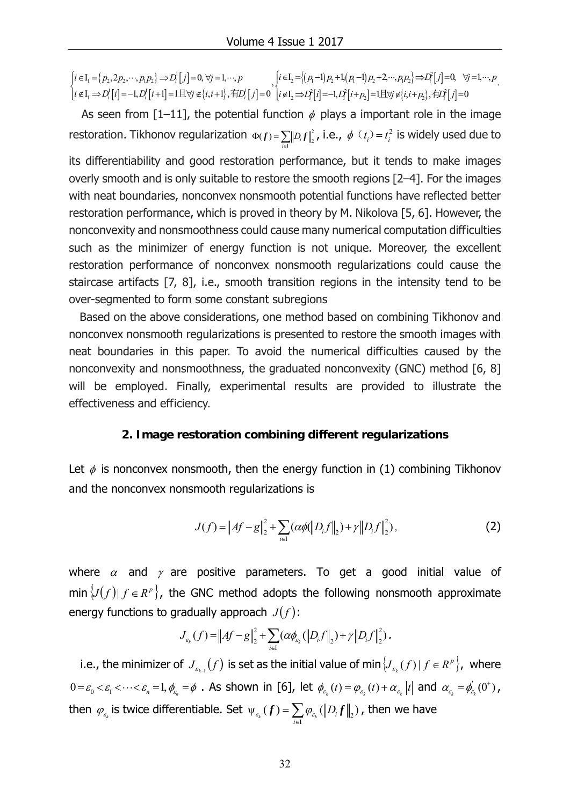$\{p_2, 2p_2, \cdots, p_1p_2\} \Rightarrow D_i^{\dagger} |j|$  $|i|=-1, D_i^{\dagger}|i+1| = 1 \pm \forall j \notin \{i, i+1\}, \overline{f}|D_i^{\dagger}|j|$  $I_1 = \{p_2, 2p_2, \cdots, p_1p_2\} \Rightarrow D_i^1$  $\mathcal{L}_1 \Rightarrow D_i^1[i] = -1, D_i^1[i+1] = 1 \mathbb{E} \forall j \notin \{i, i+1\}, \overline{f}D_i^1$  $I_1 = \{p_2, 2p_2, \cdots, p_1p_2\} \Rightarrow D_i^1[j] = 0, \forall j = 1, \cdots,$  $I_1 \Rightarrow D_i^1[i] = -1, D_i^1[i+1] = 1 \boxplus \forall j \notin \{i, i+1\}, \overline{A}D_i^1[j] = 0$ *i*  $i[i]$   $i, \nu_i[i+1]$   $i \pm i$   $\forall$   $\nu_i$ ,  $i + 1$ ,  $\nu_i$  $i \in I_i = \{p_2, 2p_2, \cdots, p_1p_2\} \Rightarrow D_i^{\dagger}[j] = 0, \forall j = 1, \cdots, p$  $i \notin I_{i} \Rightarrow D_{i}^{1}[i] = -1, D_{i}^{1}[i+1] = 1 \boxplus \forall j \notin \{i, i+1\}, \overline{f}D_{i}^{1}[j]$  $\begin{aligned} &\left|i\in\mathrm{I}_{1}=\left\{p_{2},2p_{2},\cdots,p_{1}p_{2}\right\}\Rightarrow D_{i}^{1}[j]=0,\,\forall j=1,\cdots,p\\ &i\notin\mathrm{I}_{1}\Rightarrow D_{i}^{1}[i]=-1,D_{i}^{1}[i+1]=1\,\exists\,\forall j\notin\left\{i,i+1\right\},\vec{A}[D_{i}^{1}[j]=1]. \end{aligned}\right.$  $\mathcal{L}_1[i\in\mathbb{I}_2 = \{(p_1-1)p_2+1,(p_1-1)p_2+2,\cdots,p_1p_2\} \Rightarrow D_i[j]$  $|i|=-1, D_i^*[i+p_j]=1 \boxplus \forall j \notin \{i, i+p_j\}, \exists D_i^*[j]$  $L_2 = \{(p_1-1)p_2+1,(p_1-1)p_2+2,\cdots,p_1p_2\} \Rightarrow D_1^2$  $\mathcal{L}_2 \Rightarrow D_i^2[i] = -1, D_i^2[i + p_2] = 1 \mathbb{E} \forall j \in \{i, i + p_2\}, \overline{4} D_i^2$  $I_1 = \{(p_1-1)p_1+1,(p_1-1)p_1+2,\cdots,p_1p_2\} \Rightarrow D_1^2[j]=0, \quad \forall j=1,\cdots,$  $I_1 \Rightarrow D_i^2[i] = -1, D_i^2[i+p] = 1 \boxplus \forall j \notin \{i, i+p_i\}, \overline{f}D_i^2[j] = 0$ *i*  $\mathbf{y}_i[i] = \mathbf{y}_i \mathbf{y}_i[i + p_2] - \mathbf{y}_i \mathbf{y}_i[i] + p_2[i] \mathbf{y}_i[i]$  $i \in I$ ,  $= \{(p, -1)p, +1, (p, -1)p, +2, \cdots, p, p\} \Rightarrow D_i^{2}[j] = 0, \forall j = 1, \cdots, p$  $i \notin I$ ,  $\Rightarrow$ *D*<sup>2</sup> $[i]$ =-1,*D*<sup>2</sup> $[i+p]$ =1 $\exists$ U $j \notin$ { $i,i+p$ },  $\exists D$ <sup>2</sup> $[j]$  $\begin{cases} i \in I_2 = \{(p_1-1)p_2+1,(p_1-1)p_2+2,\cdots,p_1p_2\} \Rightarrow D_i^2[j]=0, & \forall j=1,\cdots \\ i \notin I_2 \Rightarrow D_i^2[i]=-1,D_i^2[i+p_2]=1 \exists \forall j \notin \{i,i+p_2\}, \exists i \in I_2^2[j]=0 \end{cases}$ .

As seen from [1–11], the potential function  $\phi$  plays a important role in the image restoration. Tikhonov regularization  $\Phi(f) = \sum ||D,f||^2$  $\sum_{i \in I} \|D_i f\|_2^2$ *D*  $\Phi(f) = \sum_{i\in I} \|D_i f\|_2^2$ , i.e.,  $\phi \ (t_i) = t_i^2$  is widely used due to its differentiability and good restoration performance, but it tends to make images overly smooth and is only suitable to restore the smooth regions [2–4]. For the images with neat boundaries, nonconvex nonsmooth potential functions have reflected better restoration performance, which is proved in theory by M. Nikolova [5, 6]. However, the nonconvexity and nonsmoothness could cause many numerical computation difficulties such as the minimizer of energy function is not unique. Moreover, the excellent restoration performance of nonconvex nonsmooth regularizations could cause the staircase artifacts [7, 8], i.e., smooth transition regions in the intensity tend to be over-segmented to form some constant subregions

 Based on the above considerations, one method based on combining Tikhonov and nonconvex nonsmooth regularizations is presented to restore the smooth images with neat boundaries in this paper. To avoid the numerical difficulties caused by the nonconvexity and nonsmoothness, the graduated nonconvexity (GNC) method [6, 8] will be employed. Finally, experimental results are provided to illustrate the effectiveness and efficiency.

#### **2. Image restoration combining different regularizations**

Let  $\phi$  is nonconvex nonsmooth, then the energy function in (1) combining Tikhonov and the nonconvex nonsmooth regularizations is

$$
J(f) = \|Af - g\|_2^2 + \sum_{i \in I} (\alpha \phi(\|D_i f\|_2) + \gamma \|D_i f\|_2^2), \tag{2}
$$

where  $\alpha$  and  $\gamma$  are positive parameters. To get a good initial value of min  $\{J(f) | f \in R^p\}$ , the GNC method adopts the following nonsmooth approximate energy functions to gradually approach  $J(f)$ :

$$
J_{\varepsilon_k}(f) = \|Af - g\|_2^2 + \sum_{i \in I} (\alpha \phi_{\varepsilon_k}(\|D_i f\|_2) + \gamma \|D_i f\|_2^2).
$$

i.e., the minimizer of  $J_{\varepsilon_{k-1}}(f)$  is set as the initial value of min  $\{J_{\varepsilon_{k}}(f) | f \in R^p\}$ , where  $0 = \varepsilon_0 < \varepsilon_1 < \cdots < \varepsilon_n = 1, \phi_{\varepsilon_n} = \phi$ . As shown in [6], let  $\phi_{\varepsilon_k}(t) = \phi_{\varepsilon_k}(t) + \alpha_{\varepsilon_k} |t|$  and  $\alpha_{\varepsilon_k} = \phi_{\varepsilon_k}'(0^+)$ , then  $\varphi_{_{\mathcal{E}_k}}$  is twice differentiable. Set  $\psi_{_{\mathcal{E}_k}}(f)=\sum\limits_{i\in\text{I}}\varphi_{_{\mathcal{E}_k}}(\left\|D_i f\right\|_{_2}$  $\psi_{\varepsilon_k}(f) = \sum_{i\in \mathrm{I}} \varphi_{\varepsilon_k}(\left\|D_i f\right\|_2)$  $\mathcal{L}_{\varepsilon_k}(f) = \sum \varphi_{\varepsilon_k}(\lVert D\rVert)$  $f$ ) =  $\sum_{i\in \text{I}}\phi_{_{\mathcal{E}_{k}}}(\left\|D_{_{i}}f\right\|_{_{2}})$  , then we have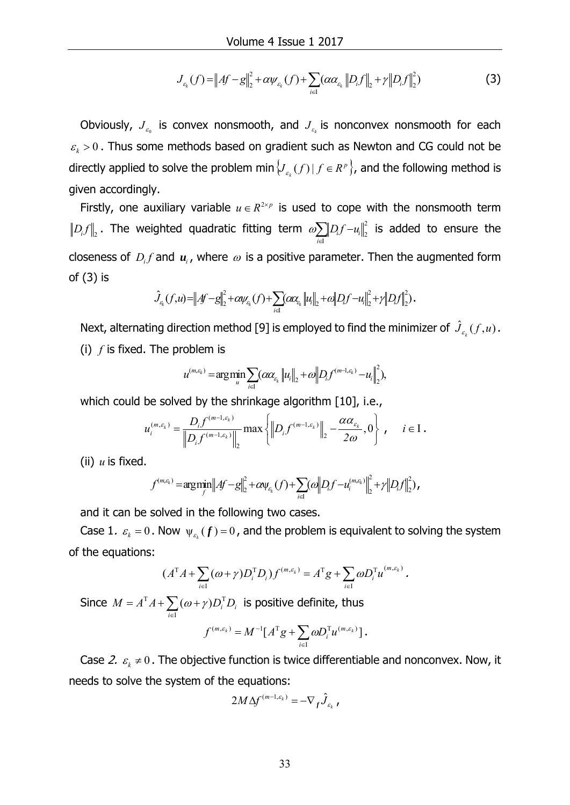$$
J_{\varepsilon_k}(f) = \|Af - g\|_2^2 + \alpha \psi_{\varepsilon_k}(f) + \sum_{i \in I} (\alpha \alpha_{\varepsilon_k} \|D_i f\|_2 + \gamma \|D_i f\|_2^2)
$$
 (3)

Obviously,  $J_{\varepsilon_0}$  is convex nonsmooth, and  $J_{\varepsilon_k}$  is nonconvex nonsmooth for each  $k_k > 0$ . Thus some methods based on gradient such as Newton and CG could not be directly applied to solve the problem min  $\{J_{\varepsilon_k}(f) \mid f \in R^p\}$ , and the following method is given accordingly.

Firstly, one auxiliary variable  $u \in R^{2\times p}$  is used to cope with the nonsmooth term  $\mathcal{D}_i f \big\|_2$  . The weighted quadratic fitting term  $\mathscr{A}\sum_{i\in I}\big\|\mathcal{D}_i f - u_i\big\|_2^2$  $\mu_{i}$   $\mu_{i}$ *i*  $\omega$ <sub>*p*</sub> $D_i$ *f* $-u$  $\sum_{i\in I} \left\|D_i f - u_i\right\|_2^2$  is added to ensure the closeness of  $D_i f$  and  $u_i$ , where  $\omega$  is a positive parameter. Then the augmented form of (3) is

$$
\hat{J}_{c_k}(f, u) = \|Af - g\|_2^2 + \alpha \nu_{c_k}(f) + \sum_{i \in I} (\alpha \alpha_{c_k} \|u_i\|_2 + \alpha \|D_i f - u_i\|_2^2 + \gamma \|D_i f\|_2^2).
$$

Next, alternating direction method [9] is employed to find the minimizer of  $\hat{J}_{\varepsilon_k}(f, u)$  . (i) *f* is fixed. The problem is

$$
u^{(m,\varepsilon_k)} = \arg\min_{u} \sum_{i\in I} (\alpha \alpha_{\varepsilon_k} ||u_i||_2 + \alpha ||D_i f^{(m-1,\varepsilon_k)} - u_i||_2^2),
$$

which could be solved by the shrinkage algorithm [10], i.e.,

$$
u_i^{(m,\varepsilon_k)} = \frac{D_i f^{(m-1,\varepsilon_k)}}{\left\| D_i f^{(m-1,\varepsilon_k)} \right\|_2} \max \left\{ \left\| D_i f^{(m-1,\varepsilon_k)} \right\|_2 - \frac{\alpha \alpha_{\varepsilon_k}}{2\omega}, 0 \right\} , \quad i \in I.
$$

(ii) *u* is fixed.

$$
f^{(m,\epsilon_k)} = \arg\min_{f} \left\| Af - g \right\|_2^2 + c \omega_{\epsilon_k}(f) + \sum_{i \in I} \left( \omega \left\| D_i f - u_i^{(m,\epsilon_k)} \right\|_2^2 + \gamma \left\| D_i f \right\|_2^2 \right),
$$

and it can be solved in the following two cases.

Case 1.  $\varepsilon_{k} = 0$ . Now  $\psi_{\varepsilon_{k}}(f) = 0$ , and the problem is equivalent to solving the system of the equations:

$$
(ATA+\sum_{i\in I}(\omega+\gamma)D_iTD_i)f^{(m,\varepsilon_k)}=ATg+\sum_{i\in I}\omega D_iTu^{(m,\varepsilon_k)}.
$$

Since  $M = A^{\mathrm{T}} A + \sum_{i \in I} (\omega + \gamma) D_i^{\mathrm{T}}$ I  $(\omega + \gamma)$ *i*  $M = A^{\mathrm{T}} A + \sum (\omega + \gamma) D_i^{\mathrm{T}} D_i$  is positive definite, thus

$$
f^{(m,\varepsilon_k)} = M^{-1} \big[ A^{\mathrm{T}} g + \sum_{i \in \mathrm{I}} \omega D_i^{\mathrm{T}} u^{(m,\varepsilon_k)} \big].
$$

Case 2.  $\varepsilon_k \neq 0$ . The objective function is twice differentiable and nonconvex. Now, it needs to solve the system of the equations:

$$
2M\Delta f^{(m-1,\varepsilon_k)} = -\nabla_f \hat{J}_{\varepsilon_k} \, ,
$$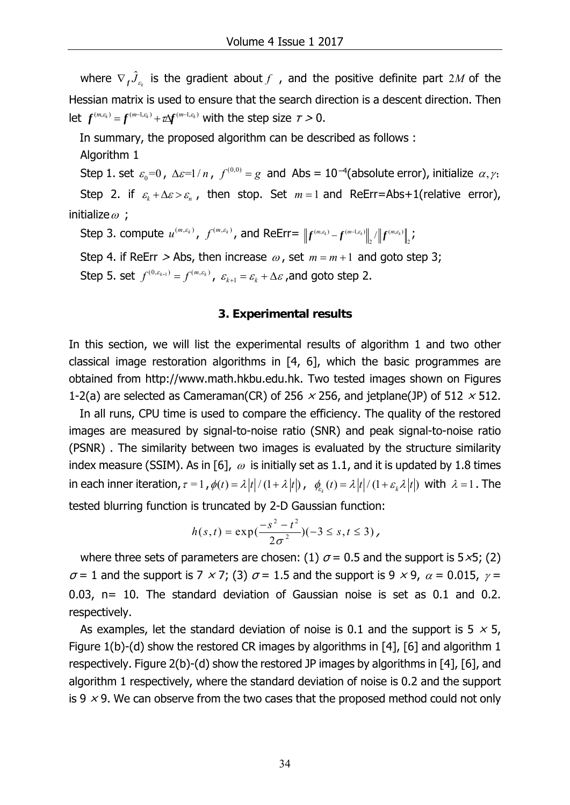where  $\nabla_{f}\hat{J}_{\varepsilon_{k}}$  is the gradient about  $f$  , and the positive definite part 2M of the Hessian matrix is used to ensure that the search direction is a descent direction. Then let  $f^{(m,\varepsilon_k)} = f^{(m-1,\varepsilon_k)} + \tau \Delta f^{(m-1,\varepsilon_k)}$  with the step size  $\tau > 0$ .

In summary, the proposed algorithm can be described as follows :

Algorithm 1

Step 1. set  $\varepsilon_0=0$ ,  $\Delta \varepsilon=1/n$ ,  $f^{(0,0)}=g$  and Abs = 10<sup>-4</sup>(absolute error), initialize  $\alpha, \gamma$ . Step 2. if  $\varepsilon_k + \Delta \varepsilon > \varepsilon_n$ , then stop. Set  $m = 1$  and ReErr=Abs+1(relative error), initialize  $\omega$  ;

Step 3. compute  $u^{(m, \varepsilon_k)}$ ,  $f^{(m, \varepsilon_k)}$ , and ReErr=  $\left\|f^{(m, \varepsilon_k)}-f^{(m-1, \varepsilon_k)}\right\|_2/\left\|f^{(m, \varepsilon_k)}\right\|_2$ ;

Step 4. if ReErr  $>$  Abs, then increase  $\omega$ , set  $m = m + 1$  and goto step 3; Step 5. set  $f^{(0, \varepsilon_{k+1})} = f^{(m, \varepsilon_k)}$ ,  $\varepsilon_{k+1} = \varepsilon_k + \Delta \varepsilon$ , and goto step 2.

#### **3. Experimental results**

In this section, we will list the experimental results of algorithm 1 and two other classical image restoration algorithms in [4, 6], which the basic programmes are obtained from http://www.math.hkbu.edu.hk. Two tested images shown on Figures 1-2(a) are selected as Cameraman(CR) of 256  $\times$  256, and jetplane(JP) of 512  $\times$  512.

 In all runs, CPU time is used to compare the efficiency. The quality of the restored images are measured by signal-to-noise ratio (SNR) and peak signal-to-noise ratio (PSNR) . The similarity between two images is evaluated by the structure similarity index measure (SSIM). As in [6],  $\omega$  is initially set as 1.1, and it is updated by 1.8 times in each inner iteration,  $\tau = 1$ ,  $\phi(t) = \lambda |t|/(1 + \lambda |t|)$ ,  $\phi_{\epsilon}(t) = \lambda |t|/(1 + \varepsilon_{k} \lambda |t|)$  with  $\lambda = 1$ . The tested blurring function is truncated by 2-D Gaussian function:

$$
h(s,t) = \exp(\frac{-s^2 - t^2}{2\sigma^2})(-3 \leq s, t \leq 3),
$$

where three sets of parameters are chosen: (1)  $\sigma$  = 0.5 and the support is 5×5; (2)  $\sigma$  = 1 and the support is 7  $\times$  7; (3)  $\sigma$  = 1.5 and the support is 9  $\times$  9,  $\alpha$  = 0.015,  $\gamma$  = 0.03, n= 10. The standard deviation of Gaussian noise is set as 0.1 and 0.2. respectively.

As examples, let the standard deviation of noise is 0.1 and the support is 5  $\times$  5, Figure 1(b)-(d) show the restored CR images by algorithms in [4], [6] and algorithm 1 respectively. Figure 2(b)-(d) show the restored JP images by algorithms in [4], [6], and algorithm 1 respectively, where the standard deviation of noise is 0.2 and the support is 9  $\times$  9. We can observe from the two cases that the proposed method could not only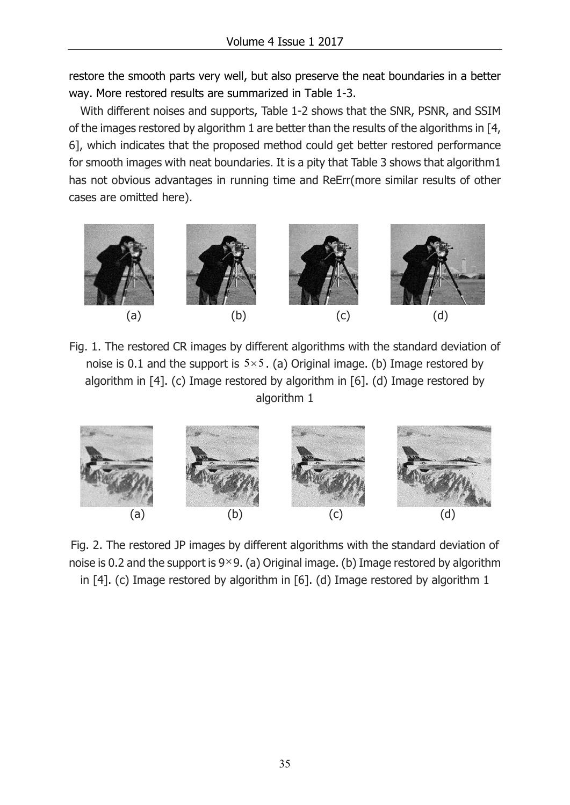restore the smooth parts very well, but also preserve the neat boundaries in a better way. More restored results are summarized in Table 1-3.

With different noises and supports, Table 1-2 shows that the SNR, PSNR, and SSIM of the images restored by algorithm 1 are better than the results of the algorithms in [4, 6], which indicates that the proposed method could get better restored performance for smooth images with neat boundaries. It is a pity that Table 3 shows that algorithm1 has not obvious advantages in running time and ReErr(more similar results of other cases are omitted here).



Fig. 1. The restored CR images by different algorithms with the standard deviation of noise is 0.1 and the support is  $5 \times 5$ . (a) Original image. (b) Image restored by algorithm in [4]. (c) Image restored by algorithm in [6]. (d) Image restored by algorithm 1



Fig. 2. The restored JP images by different algorithms with the standard deviation of noise is 0.2 and the support is  $9\times 9$ . (a) Original image. (b) Image restored by algorithm in [4]. (c) Image restored by algorithm in [6]. (d) Image restored by algorithm 1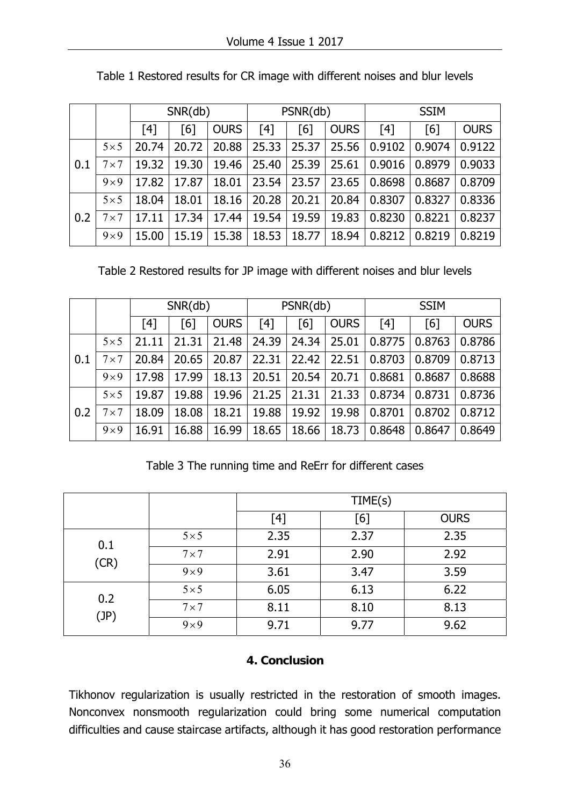|     |              | SNR(db) |       |             | PSNR(db) |       |             | <b>SSIM</b> |        |             |
|-----|--------------|---------|-------|-------------|----------|-------|-------------|-------------|--------|-------------|
|     |              | [4]     | [6]   | <b>OURS</b> | [4]      | [6]   | <b>OURS</b> | [4]         | [6]    | <b>OURS</b> |
| 0.1 | $5 \times 5$ | 20.74   | 20.72 | 20.88       | 25.33    | 25.37 | 25.56       | 0.9102      | 0.9074 | 0.9122      |
|     | $7 \times 7$ | 19.32   | 19.30 | 19.46       | 25.40    | 25.39 | 25.61       | 0.9016      | 0.8979 | 0.9033      |
|     | $9\times9$   | 17.82   | 17.87 | 18.01       | 23.54    | 23.57 | 23.65       | 0.8698      | 0.8687 | 0.8709      |
| 0.2 | $5 \times 5$ | 18.04   | 18.01 | 18.16       | 20.28    | 20.21 | 20.84       | 0.8307      | 0.8327 | 0.8336      |
|     | $7 \times 7$ | 17.11   | 17.34 | 17.44       | 19.54    | 19.59 | 19.83       | 0.8230      | 0.8221 | 0.8237      |
|     | $9\times9$   | 15.00   | 15.19 | 15.38       | 18.53    | 18.77 | 18.94       | 0.8212      | 0.8219 | 0.8219      |

Table 1 Restored results for CR image with different noises and blur levels

Table 2 Restored results for JP image with different noises and blur levels

|     |              | SNR(db) |                |             | PSNR(db) |       |             | <b>SSIM</b> |        |             |
|-----|--------------|---------|----------------|-------------|----------|-------|-------------|-------------|--------|-------------|
|     |              | [4]     | <sup>[6]</sup> | <b>OURS</b> | [4]      | [6]   | <b>OURS</b> | [4]         | [6]    | <b>OURS</b> |
| 0.1 | $5 \times 5$ | 21.11   | 21.31          | 21.48       | 24.39    | 24.34 | 25.01       | 0.8775      | 0.8763 | 0.8786      |
|     | $7 \times 7$ | 20.84   | 20.65          | 20.87       | 22.31    | 22.42 | 22.51       | 0.8703      | 0.8709 | 0.8713      |
|     | $9\times9$   | 17.98   | 17.99          | 18.13       | 20.51    | 20.54 | 20.71       | 0.8681      | 0.8687 | 0.8688      |
| 0.2 | $5 \times 5$ | 19.87   | 19.88          | 19.96       | 21.25    | 21.31 | 21.33       | 0.8734      | 0.8731 | 0.8736      |
|     | $7 \times 7$ | 18.09   | 18.08          | 18.21       | 19.88    | 19.92 | 19.98       | 0.8701      | 0.8702 | 0.8712      |
|     | $9\times9$   | 16.91   | 16.88          | 16.99       | 18.65    | 18.66 | 18.73       | 0.8648      | 0.8647 | 0.8649      |

Table 3 The running time and ReErr for different cases

|      |              | TIME(s) |      |             |  |  |
|------|--------------|---------|------|-------------|--|--|
|      |              | [4]     | [6]  | <b>OURS</b> |  |  |
| 0.1  | $5 \times 5$ | 2.35    | 2.37 | 2.35        |  |  |
| (CR) | $7 \times 7$ | 2.91    | 2.90 | 2.92        |  |  |
|      | $9\times9$   | 3.61    | 3.47 | 3.59        |  |  |
| 0.2  | $5 \times 5$ | 6.05    | 6.13 | 6.22        |  |  |
| (JP) | $7 \times 7$ | 8.11    | 8.10 | 8.13        |  |  |
|      | $9 \times 9$ | 9.71    | 9.77 | 9.62        |  |  |

## **4. Conclusion**

Tikhonov regularization is usually restricted in the restoration of smooth images. Nonconvex nonsmooth regularization could bring some numerical computation difficulties and cause staircase artifacts, although it has good restoration performance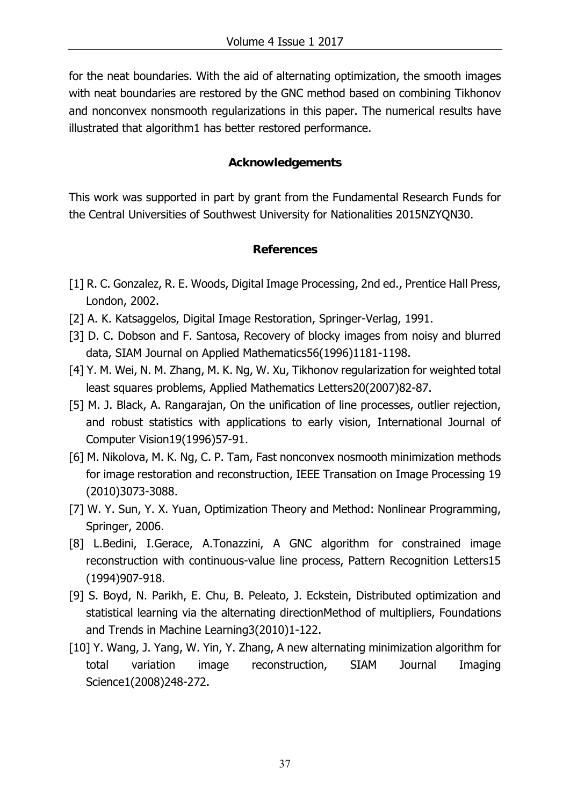for the neat boundaries. With the aid of alternating optimization, the smooth images with neat boundaries are restored by the GNC method based on combining Tikhonov and nonconvex nonsmooth regularizations in this paper. The numerical results have illustrated that algorithm1 has better restored performance.

## **Acknowledgements**

This work was supported in part by grant from the Fundamental Research Funds for the Central Universities of Southwest University for Nationalities 2015NZYQN30.

## **References**

- [1] R. C. Gonzalez, R. E. Woods, Digital Image Processing, 2nd ed., Prentice Hall Press, London, 2002.
- [2] A. K. Katsaggelos, Digital Image Restoration, Springer-Verlag, 1991.
- [3] D. C. Dobson and F. Santosa, Recovery of blocky images from noisy and blurred data, SIAM Journal on Applied Mathematics56(1996)1181-1198.
- [4] Y. M. Wei, N. M. Zhang, M. K. Ng, W. Xu, Tikhonov regularization for weighted total least squares problems, Applied Mathematics Letters20(2007)82-87.
- [5] M. J. Black, A. Rangarajan, On the unification of line processes, outlier rejection, and robust statistics with applications to early vision, International Journal of Computer Vision19(1996)57-91.
- [6] M. Nikolova, M. K. Ng, C. P. Tam, Fast nonconvex nosmooth minimization methods for image restoration and reconstruction, IEEE Transation on Image Processing 19 (2010)3073-3088.
- [7] W. Y. Sun, Y. X. Yuan, Optimization Theory and Method: Nonlinear Programming, Springer, 2006.
- [8] L.Bedini, I.Gerace, A.Tonazzini, A GNC algorithm for constrained image reconstruction with continuous-value line process, Pattern Recognition Letters15 (1994)907-918.
- [9] S. Boyd, N. Parikh, E. Chu, B. Peleato, J. Eckstein, Distributed optimization and statistical learning via the alternating directionMethod of multipliers, Foundations and Trends in Machine Learning3(2010)1-122.
- [10] Y. Wang, J. Yang, W. Yin, Y. Zhang, A new alternating minimization algorithm for total variation image reconstruction, SIAM Journal Imaging Science1(2008)248-272.